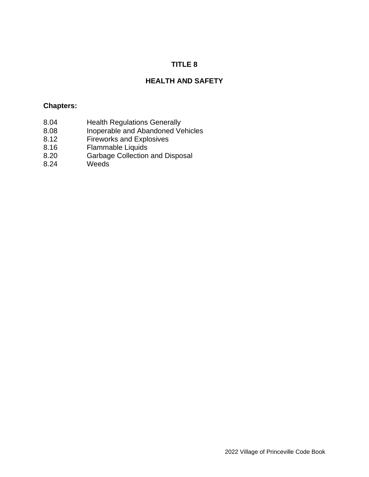# **TITLE 8**

# **HEALTH AND SAFETY**

### **Chapters:**

- 8.04 Health Regulations Generally
- 8.08 Inoperable and Abandoned Vehicles
- 8.12 Fireworks and Explosives
- 8.16 Flammable Liquids
- 8.20 Garbage Collection and Disposal
- 8.24 Weeds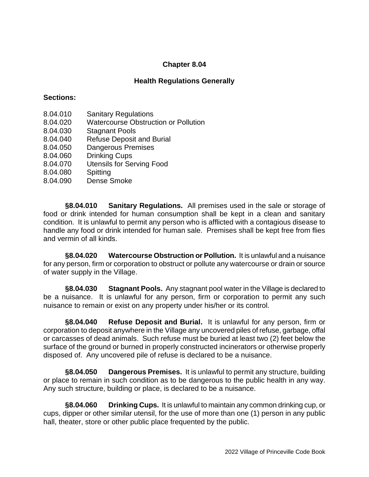## **Health Regulations Generally**

### **Sections:**

- 8.04.010 Sanitary Regulations
- 8.04.020 Watercourse Obstruction or Pollution
- 8.04.030 Stagnant Pools
- 8.04.040 Refuse Deposit and Burial
- 8.04.050 Dangerous Premises
- 8.04.060 Drinking Cups
- 8.04.070 Utensils for Serving Food
- 8.04.080 Spitting
- 8.04.090 Dense Smoke

**§8.04.010 Sanitary Regulations.** All premises used in the sale or storage of food or drink intended for human consumption shall be kept in a clean and sanitary condition. It is unlawful to permit any person who is afflicted with a contagious disease to handle any food or drink intended for human sale. Premises shall be kept free from flies and vermin of all kinds.

**§8.04.020 Watercourse Obstruction or Pollution.** It is unlawful and a nuisance for any person, firm or corporation to obstruct or pollute any watercourse or drain or source of water supply in the Village.

**§8.04.030 Stagnant Pools.** Any stagnant pool water in the Village is declared to be a nuisance. It is unlawful for any person, firm or corporation to permit any such nuisance to remain or exist on any property under his/her or its control.

**§8.04.040 Refuse Deposit and Burial.** It is unlawful for any person, firm or corporation to deposit anywhere in the Village any uncovered piles of refuse, garbage, offal or carcasses of dead animals. Such refuse must be buried at least two (2) feet below the surface of the ground or burned in properly constructed incinerators or otherwise properly disposed of. Any uncovered pile of refuse is declared to be a nuisance.

**§8.04.050 Dangerous Premises.** It is unlawful to permit any structure, building or place to remain in such condition as to be dangerous to the public health in any way. Any such structure, building or place, is declared to be a nuisance.

**§8.04.060 Drinking Cups.** It is unlawful to maintain any common drinking cup, or cups, dipper or other similar utensil, for the use of more than one (1) person in any public hall, theater, store or other public place frequented by the public.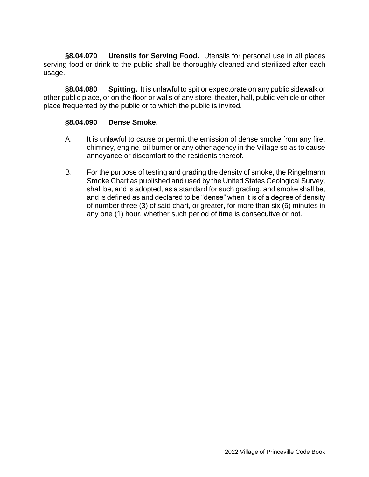**§8.04.070 Utensils for Serving Food.** Utensils for personal use in all places serving food or drink to the public shall be thoroughly cleaned and sterilized after each usage.

**§8.04.080 Spitting.** It is unlawful to spit or expectorate on any public sidewalk or other public place, or on the floor or walls of any store, theater, hall, public vehicle or other place frequented by the public or to which the public is invited.

### **§8.04.090 Dense Smoke.**

- A. It is unlawful to cause or permit the emission of dense smoke from any fire, chimney, engine, oil burner or any other agency in the Village so as to cause annoyance or discomfort to the residents thereof.
- B. For the purpose of testing and grading the density of smoke, the Ringelmann Smoke Chart as published and used by the United States Geological Survey, shall be, and is adopted, as a standard for such grading, and smoke shall be, and is defined as and declared to be "dense" when it is of a degree of density of number three (3) of said chart, or greater, for more than six (6) minutes in any one (1) hour, whether such period of time is consecutive or not.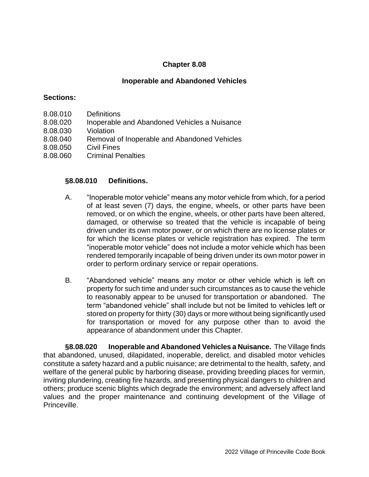### **Inoperable and Abandoned Vehicles**

#### **Sections:**

- 8.08.010 Definitions
- 8.08.020 Inoperable and Abandoned Vehicles a Nuisance
- 8.08.030 Violation
- 8.08.040 Removal of Inoperable and Abandoned Vehicles
- 8.08.050 Civil Fines
- 8.08.060 Criminal Penalties

#### **§8.08.010 Definitions.**

- A. "Inoperable motor vehicle" means any motor vehicle from which, for a period of at least seven (7) days, the engine, wheels, or other parts have been removed, or on which the engine, wheels, or other parts have been altered, damaged, or otherwise so treated that the vehicle is incapable of being driven under its own motor power, or on which there are no license plates or for which the license plates or vehicle registration has expired. The term "inoperable motor vehicle" does not include a motor vehicle which has been rendered temporarily incapable of being driven under its own motor power in order to perform ordinary service or repair operations.
- B. "Abandoned vehicle" means any motor or other vehicle which is left on property for such time and under such circumstances as to cause the vehicle to reasonably appear to be unused for transportation or abandoned. The term "abandoned vehicle" shall include but not be limited to vehicles left or stored on property for thirty (30) days or more without being significantly used for transportation or moved for any purpose other than to avoid the appearance of abandonment under this Chapter.

**§8.08.020 Inoperable and Abandoned Vehicles a Nuisance.** The Village finds that abandoned, unused, dilapidated, inoperable, derelict, and disabled motor vehicles constitute a safety hazard and a public nuisance; are detrimental to the health, safety, and welfare of the general public by harboring disease, providing breeding places for vermin, inviting plundering, creating fire hazards, and presenting physical dangers to children and others; produce scenic blights which degrade the environment; and adversely affect land values and the proper maintenance and continuing development of the Village of Princeville.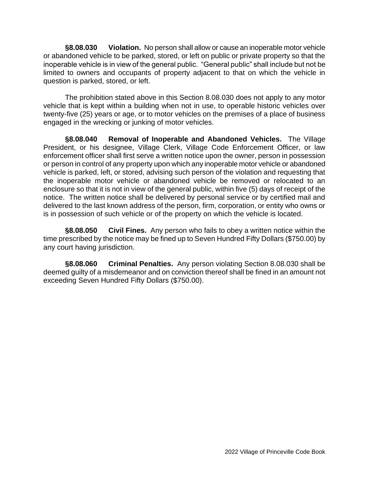**§8.08.030 Violation.** No person shall allow or cause an inoperable motor vehicle or abandoned vehicle to be parked, stored, or left on public or private property so that the inoperable vehicle is in view of the general public. "General public" shall include but not be limited to owners and occupants of property adjacent to that on which the vehicle in question is parked, stored, or left.

The prohibition stated above in this Section 8.08.030 does not apply to any motor vehicle that is kept within a building when not in use, to operable historic vehicles over twenty-five (25) years or age, or to motor vehicles on the premises of a place of business engaged in the wrecking or junking of motor vehicles.

**§8.08.040 Removal of Inoperable and Abandoned Vehicles.** The Village President, or his designee, Village Clerk, Village Code Enforcement Officer, or law enforcement officer shall first serve a written notice upon the owner, person in possession or person in control of any property upon which any inoperable motor vehicle or abandoned vehicle is parked, left, or stored, advising such person of the violation and requesting that the inoperable motor vehicle or abandoned vehicle be removed or relocated to an enclosure so that it is not in view of the general public, within five (5) days of receipt of the notice. The written notice shall be delivered by personal service or by certified mail and delivered to the last known address of the person, firm, corporation, or entity who owns or is in possession of such vehicle or of the property on which the vehicle is located.

**§8.08.050 Civil Fines.** Any person who fails to obey a written notice within the time prescribed by the notice may be fined up to Seven Hundred Fifty Dollars (\$750.00) by any court having jurisdiction.

**§8.08.060 Criminal Penalties.** Any person violating Section 8.08.030 shall be deemed guilty of a misdemeanor and on conviction thereof shall be fined in an amount not exceeding Seven Hundred Fifty Dollars (\$750.00).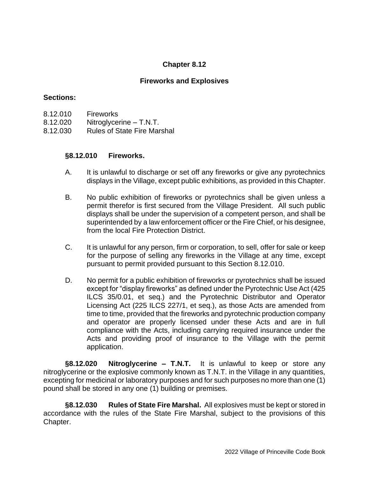## **Fireworks and Explosives**

### **Sections:**

- 8.12.010 Fireworks
- 8.12.020 Nitroglycerine T.N.T.
- 8.12.030 Rules of State Fire Marshal

## **§8.12.010 Fireworks.**

- A. It is unlawful to discharge or set off any fireworks or give any pyrotechnics displays in the Village, except public exhibitions, as provided in this Chapter.
- B. No public exhibition of fireworks or pyrotechnics shall be given unless a permit therefor is first secured from the Village President. All such public displays shall be under the supervision of a competent person, and shall be superintended by a law enforcement officer or the Fire Chief, or his designee, from the local Fire Protection District.
- C. It is unlawful for any person, firm or corporation, to sell, offer for sale or keep for the purpose of selling any fireworks in the Village at any time, except pursuant to permit provided pursuant to this Section 8.12.010.
- D. No permit for a public exhibition of fireworks or pyrotechnics shall be issued except for "display fireworks" as defined under the Pyrotechnic Use Act (425 ILCS 35/0.01, et seq.) and the Pyrotechnic Distributor and Operator Licensing Act (225 ILCS 227/1, et seq.), as those Acts are amended from time to time, provided that the fireworks and pyrotechnic production company and operator are properly licensed under these Acts and are in full compliance with the Acts, including carrying required insurance under the Acts and providing proof of insurance to the Village with the permit application.

**§8.12.020 Nitroglycerine – T.N.T.** It is unlawful to keep or store any nitroglycerine or the explosive commonly known as T.N.T. in the Village in any quantities, excepting for medicinal or laboratory purposes and for such purposes no more than one (1) pound shall be stored in any one (1) building or premises.

**§8.12.030 Rules of State Fire Marshal.** All explosives must be kept or stored in accordance with the rules of the State Fire Marshal, subject to the provisions of this Chapter.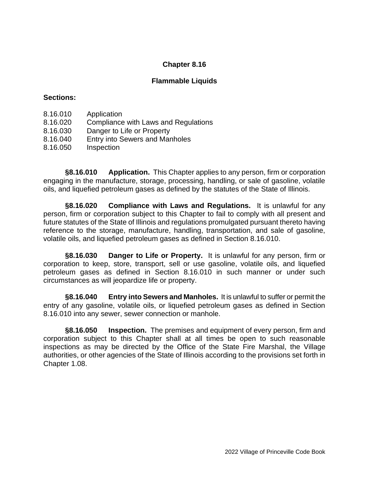### **Flammable Liquids**

### **Sections:**

- 8.16.010 Application
- 8.16.020 Compliance with Laws and Regulations
- 8.16.030 Danger to Life or Property
- 8.16.040 Entry into Sewers and Manholes
- 8.16.050 Inspection

**§8.16.010 Application.** This Chapter applies to any person, firm or corporation engaging in the manufacture, storage, processing, handling, or sale of gasoline, volatile oils, and liquefied petroleum gases as defined by the statutes of the State of Illinois.

**§8.16.020 Compliance with Laws and Regulations.** It is unlawful for any person, firm or corporation subject to this Chapter to fail to comply with all present and future statutes of the State of Illinois and regulations promulgated pursuant thereto having reference to the storage, manufacture, handling, transportation, and sale of gasoline, volatile oils, and liquefied petroleum gases as defined in Section 8.16.010.

**§8.16.030 Danger to Life or Property.** It is unlawful for any person, firm or corporation to keep, store, transport, sell or use gasoline, volatile oils, and liquefied petroleum gases as defined in Section 8.16.010 in such manner or under such circumstances as will jeopardize life or property.

**§8.16.040 Entry into Sewers and Manholes.** It is unlawful to suffer or permit the entry of any gasoline, volatile oils, or liquefied petroleum gases as defined in Section 8.16.010 into any sewer, sewer connection or manhole.

**§8.16.050 Inspection.** The premises and equipment of every person, firm and corporation subject to this Chapter shall at all times be open to such reasonable inspections as may be directed by the Office of the State Fire Marshal, the Village authorities, or other agencies of the State of Illinois according to the provisions set forth in Chapter 1.08.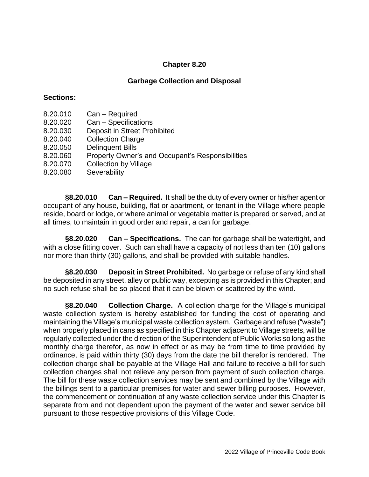### **Garbage Collection and Disposal**

### **Sections:**

- 8.20.010 Can Required
- 8.20.020 Can Specifications
- 8.20.030 Deposit in Street Prohibited
- 8.20.040 Collection Charge
- 8.20.050 Delinquent Bills
- 8.20.060 Property Owner's and Occupant's Responsibilities
- 8.20.070 Collection by Village
- 8.20.080 Severability

**§8.20.010 Can – Required.** It shall be the duty of every owner or his/her agent or occupant of any house, building, flat or apartment, or tenant in the Village where people reside, board or lodge, or where animal or vegetable matter is prepared or served, and at all times, to maintain in good order and repair, a can for garbage.

**§8.20.020 Can – Specifications.** The can for garbage shall be watertight, and with a close fitting cover. Such can shall have a capacity of not less than ten (10) gallons nor more than thirty (30) gallons, and shall be provided with suitable handles.

**§8.20.030 Deposit in Street Prohibited.** No garbage or refuse of any kind shall be deposited in any street, alley or public way, excepting as is provided in this Chapter; and no such refuse shall be so placed that it can be blown or scattered by the wind.

**§8.20.040 Collection Charge.** A collection charge for the Village's municipal waste collection system is hereby established for funding the cost of operating and maintaining the Village's municipal waste collection system. Garbage and refuse ("waste") when properly placed in cans as specified in this Chapter adjacent to Village streets, will be regularly collected under the direction of the Superintendent of Public Works so long as the monthly charge therefor, as now in effect or as may be from time to time provided by ordinance, is paid within thirty (30) days from the date the bill therefor is rendered. The collection charge shall be payable at the Village Hall and failure to receive a bill for such collection charges shall not relieve any person from payment of such collection charge. The bill for these waste collection services may be sent and combined by the Village with the billings sent to a particular premises for water and sewer billing purposes. However, the commencement or continuation of any waste collection service under this Chapter is separate from and not dependent upon the payment of the water and sewer service bill pursuant to those respective provisions of this Village Code.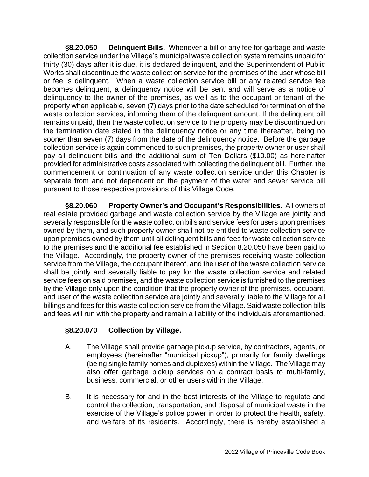**§8.20.050 Delinquent Bills.** Whenever a bill or any fee for garbage and waste collection service under the Village's municipal waste collection system remains unpaid for thirty (30) days after it is due, it is declared delinquent, and the Superintendent of Public Works shall discontinue the waste collection service for the premises of the user whose bill or fee is delinquent. When a waste collection service bill or any related service fee becomes delinquent, a delinquency notice will be sent and will serve as a notice of delinquency to the owner of the premises, as well as to the occupant or tenant of the property when applicable, seven (7) days prior to the date scheduled for termination of the waste collection services, informing them of the delinquent amount. If the delinquent bill remains unpaid, then the waste collection service to the property may be discontinued on the termination date stated in the delinquency notice or any time thereafter, being no sooner than seven (7) days from the date of the delinquency notice. Before the garbage collection service is again commenced to such premises, the property owner or user shall pay all delinquent bills and the additional sum of Ten Dollars (\$10.00) as hereinafter provided for administrative costs associated with collecting the delinquent bill. Further, the commencement or continuation of any waste collection service under this Chapter is separate from and not dependent on the payment of the water and sewer service bill pursuant to those respective provisions of this Village Code.

**§8.20.060 Property Owner's and Occupant's Responsibilities.** All owners of real estate provided garbage and waste collection service by the Village are jointly and severally responsible for the waste collection bills and service fees for users upon premises owned by them, and such property owner shall not be entitled to waste collection service upon premises owned by them until all delinquent bills and fees for waste collection service to the premises and the additional fee established in Section 8.20.050 have been paid to the Village. Accordingly, the property owner of the premises receiving waste collection service from the Village, the occupant thereof, and the user of the waste collection service shall be jointly and severally liable to pay for the waste collection service and related service fees on said premises, and the waste collection service is furnished to the premises by the Village only upon the condition that the property owner of the premises, occupant, and user of the waste collection service are jointly and severally liable to the Village for all billings and fees for this waste collection service from the Village. Said waste collection bills and fees will run with the property and remain a liability of the individuals aforementioned.

## **§8.20.070 Collection by Village.**

- A. The Village shall provide garbage pickup service, by contractors, agents, or employees (hereinafter "municipal pickup"), primarily for family dwellings (being single family homes and duplexes) within the Village. The Village may also offer garbage pickup services on a contract basis to multi-family, business, commercial, or other users within the Village.
- B. It is necessary for and in the best interests of the Village to regulate and control the collection, transportation, and disposal of municipal waste in the exercise of the Village's police power in order to protect the health, safety, and welfare of its residents. Accordingly, there is hereby established a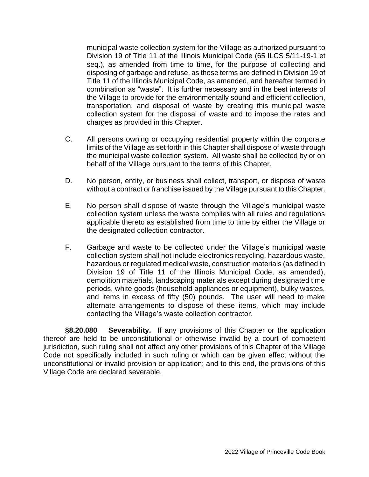municipal waste collection system for the Village as authorized pursuant to Division 19 of Title 11 of the Illinois Municipal Code (65 ILCS 5/11-19-1 et seq.), as amended from time to time, for the purpose of collecting and disposing of garbage and refuse, as those terms are defined in Division 19 of Title 11 of the Illinois Municipal Code, as amended, and hereafter termed in combination as "waste". It is further necessary and in the best interests of the Village to provide for the environmentally sound and efficient collection, transportation, and disposal of waste by creating this municipal waste collection system for the disposal of waste and to impose the rates and charges as provided in this Chapter.

- C. All persons owning or occupying residential property within the corporate limits of the Village as set forth in this Chapter shall dispose of waste through the municipal waste collection system. All waste shall be collected by or on behalf of the Village pursuant to the terms of this Chapter.
- D. No person, entity, or business shall collect, transport, or dispose of waste without a contract or franchise issued by the Village pursuant to this Chapter.
- E. No person shall dispose of waste through the Village's municipal waste collection system unless the waste complies with all rules and regulations applicable thereto as established from time to time by either the Village or the designated collection contractor.
- F. Garbage and waste to be collected under the Village's municipal waste collection system shall not include electronics recycling, hazardous waste, hazardous or regulated medical waste, construction materials (as defined in Division 19 of Title 11 of the Illinois Municipal Code, as amended), demolition materials, landscaping materials except during designated time periods, white goods (household appliances or equipment), bulky wastes, and items in excess of fifty (50) pounds. The user will need to make alternate arrangements to dispose of these items, which may include contacting the Village's waste collection contractor.

**§8.20.080 Severability.** If any provisions of this Chapter or the application thereof are held to be unconstitutional or otherwise invalid by a court of competent jurisdiction, such ruling shall not affect any other provisions of this Chapter of the Village Code not specifically included in such ruling or which can be given effect without the unconstitutional or invalid provision or application; and to this end, the provisions of this Village Code are declared severable.